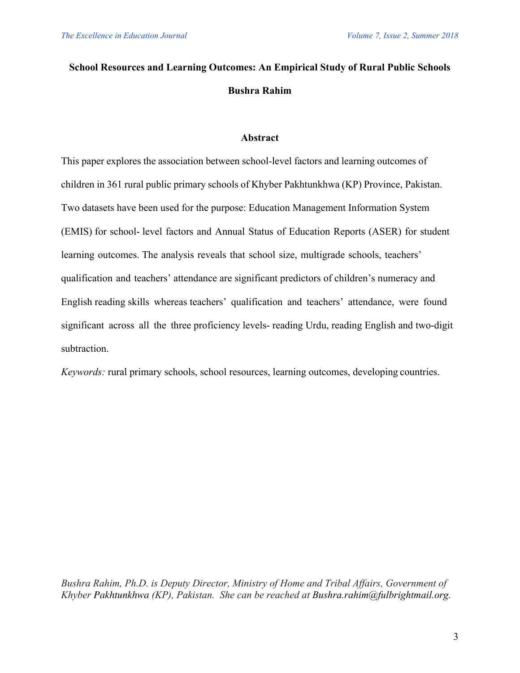# **School Resources and Learning Outcomes: An Empirical Study of Rural Public Schools Bushra Rahim**

## **Abstract**

This paper explores the association between school-level factors and learning outcomes of children in 361 rural public primary schools of Khyber Pakhtunkhwa (KP) Province, Pakistan. Two datasets have been used for the purpose: Education Management Information System (EMIS) for school- level factors and Annual Status of Education Reports (ASER) for student learning outcomes. The analysis reveals that school size, multigrade schools, teachers' qualification and teachers' attendance are significant predictors of children's numeracy and English reading skills whereas teachers' qualification and teachers' attendance, were found significant across all the three proficiency levels- reading Urdu, reading English and two-digit subtraction.

*Keywords:* rural primary schools, school resources, learning outcomes, developing countries.

*Bushra Rahim, Ph.D. is Deputy Director, Ministry of Home and Tribal Affairs, Government of Khyber Pakhtunkhwa (KP), Pakistan. She can be reached at Bushra.rahim@fulbrightmail.org.*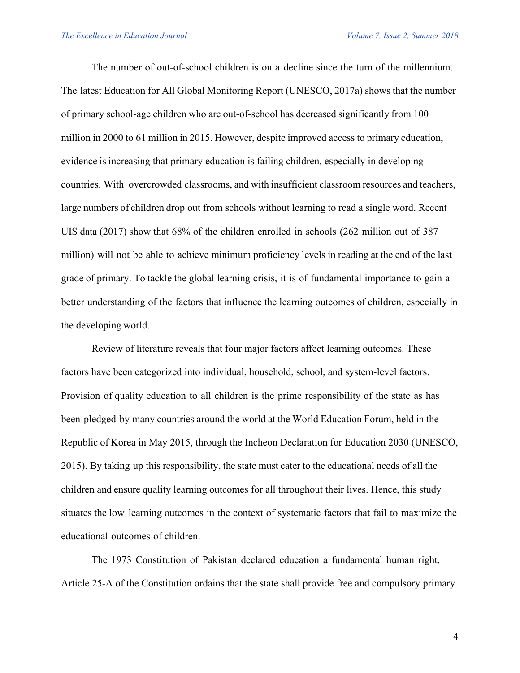The number of out-of-school children is on a decline since the turn of the millennium. The latest Education for All Global Monitoring Report (UNESCO, 2017a) shows that the number of primary school-age children who are out-of-school has decreased significantly from 100 million in 2000 to 61 million in 2015. However, despite improved access to primary education, evidence is increasing that primary education is failing children, especially in developing countries. With overcrowded classrooms, and with insufficient classroom resources and teachers, large numbers of children drop out from schools without learning to read a single word. Recent UIS data (2017) show that 68% of the children enrolled in schools (262 million out of 387 million) will not be able to achieve minimum proficiency levels in reading at the end of the last grade of primary. To tackle the global learning crisis, it is of fundamental importance to gain a better understanding of the factors that influence the learning outcomes of children, especially in the developing world.

Review of literature reveals that four major factors affect learning outcomes. These factors have been categorized into individual, household, school, and system-level factors. Provision of quality education to all children is the prime responsibility of the state as has been pledged by many countries around the world at the World Education Forum, held in the Republic of Korea in May 2015, through the Incheon Declaration for Education 2030 (UNESCO, 2015). By taking up this responsibility, the state must cater to the educational needs of all the children and ensure quality learning outcomes for all throughout their lives. Hence, this study situates the low learning outcomes in the context of systematic factors that fail to maximize the educational outcomes of children.

The 1973 Constitution of Pakistan declared education a fundamental human right. Article 25-A of the Constitution ordains that the state shall provide free and compulsory primary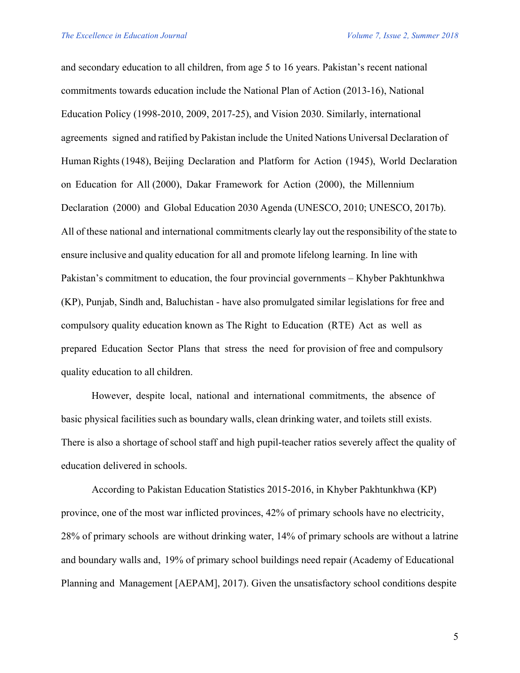and secondary education to all children, from age 5 to 16 years. Pakistan's recent national commitments towards education include the National Plan of Action (2013-16), National Education Policy (1998-2010, 2009, 2017-25), and Vision 2030. Similarly, international agreements signed and ratified by Pakistan include the United Nations Universal Declaration of Human Rights (1948), Beijing Declaration and Platform for Action (1945), World Declaration on Education for All (2000), Dakar Framework for Action (2000), the Millennium Declaration (2000) and Global Education 2030 Agenda (UNESCO, 2010; UNESCO, 2017b). All of these national and international commitments clearly lay out the responsibility of the state to ensure inclusive and quality education for all and promote lifelong learning. In line with Pakistan's commitment to education, the four provincial governments – Khyber Pakhtunkhwa (KP), Punjab, Sindh and, Baluchistan - have also promulgated similar legislations for free and compulsory quality education known as The Right to Education (RTE) Act as well as prepared Education Sector Plans that stress the need for provision of free and compulsory quality education to all children.

However, despite local, national and international commitments, the absence of basic physical facilities such as boundary walls, clean drinking water, and toilets still exists. There is also a shortage of school staff and high pupil-teacher ratios severely affect the quality of education delivered in schools.

According to Pakistan Education Statistics 2015-2016, in Khyber Pakhtunkhwa (KP) province, one of the most war inflicted provinces, 42% of primary schools have no electricity, 28% of primary schools are without drinking water, 14% of primary schools are without a latrine and boundary walls and, 19% of primary school buildings need repair (Academy of Educational Planning and Management [AEPAM], 2017). Given the unsatisfactory school conditions despite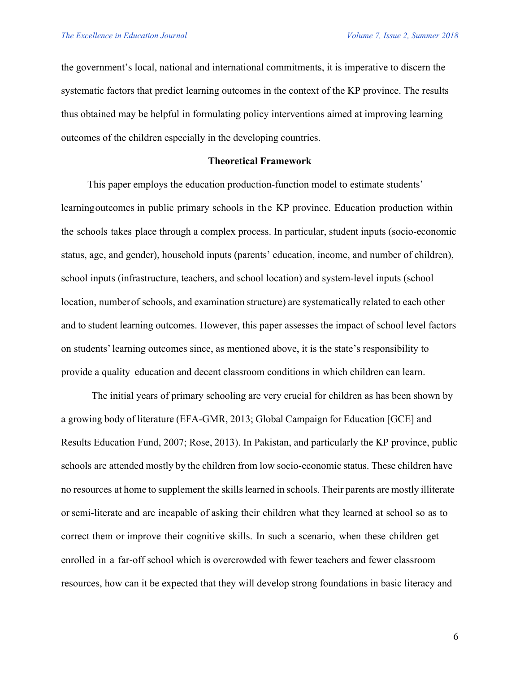the government's local, national and international commitments, it is imperative to discern the systematic factors that predict learning outcomes in the context of the KP province. The results thus obtained may be helpful in formulating policy interventions aimed at improving learning outcomes of the children especially in the developing countries.

#### **Theoretical Framework**

This paper employs the education production-function model to estimate students' learningoutcomes in public primary schools in the KP province. Education production within the schools takes place through a complex process. In particular, student inputs (socio-economic status, age, and gender), household inputs (parents' education, income, and number of children), school inputs (infrastructure, teachers, and school location) and system-level inputs (school location, numberof schools, and examination structure) are systematically related to each other and to student learning outcomes. However, this paper assesses the impact of school level factors on students'learning outcomes since, as mentioned above, it is the state's responsibility to provide a quality education and decent classroom conditions in which children can learn.

The initial years of primary schooling are very crucial for children as has been shown by a growing body of literature (EFA-GMR, 2013; Global Campaign for Education [GCE] and Results Education Fund, 2007; Rose, 2013). In Pakistan, and particularly the KP province, public schools are attended mostly by the children from low socio-economic status. These children have no resources at home to supplement the skills learned in schools. Their parents are mostly illiterate orsemi-literate and are incapable of asking their children what they learned at school so as to correct them or improve their cognitive skills. In such a scenario, when these children get enrolled in a far-off school which is overcrowded with fewer teachers and fewer classroom resources, how can it be expected that they will develop strong foundations in basic literacy and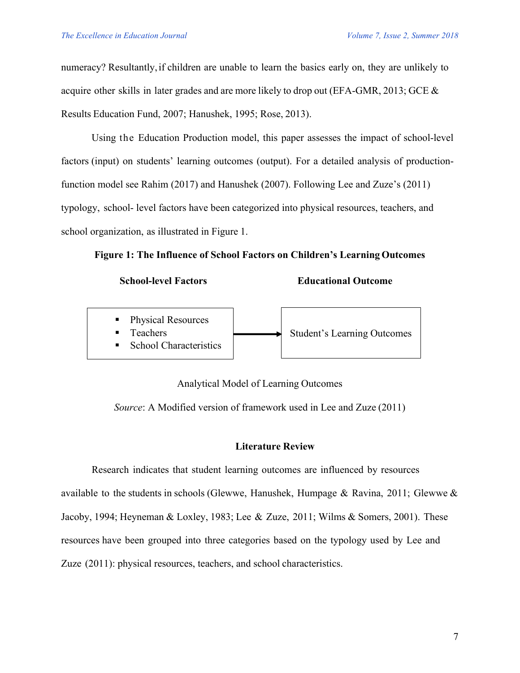numeracy? Resultantly,if children are unable to learn the basics early on, they are unlikely to acquire other skills in later grades and are more likely to drop out (EFA-GMR, 2013; GCE & Results Education Fund, 2007; Hanushek, 1995; Rose, 2013).

Using the Education Production model, this paper assesses the impact of school-level factors (input) on students' learning outcomes (output). For a detailed analysis of productionfunction model see Rahim (2017) and Hanushek (2007). Following Lee and Zuze's (2011) typology, school- level factors have been categorized into physical resources, teachers, and school organization, as illustrated in Figure 1.

**Figure 1: The Influence of School Factors on Children's Learning Outcomes** 

**Educational Outcome** 



Analytical Model of Learning Outcomes

*Source*: A Modified version of framework used in Lee and Zuze (2011)

## **Literature Review**

Research indicates that student learning outcomes are influenced by resources available to the students in schools (Glewwe, Hanushek, Humpage & Ravina, 2011; Glewwe  $\&$ Jacoby, 1994; Heyneman & Loxley, 1983; Lee & Zuze, 2011; Wilms & Somers, 2001). These resources have been grouped into three categories based on the typology used by Lee and Zuze (2011): physical resources, teachers, and school characteristics.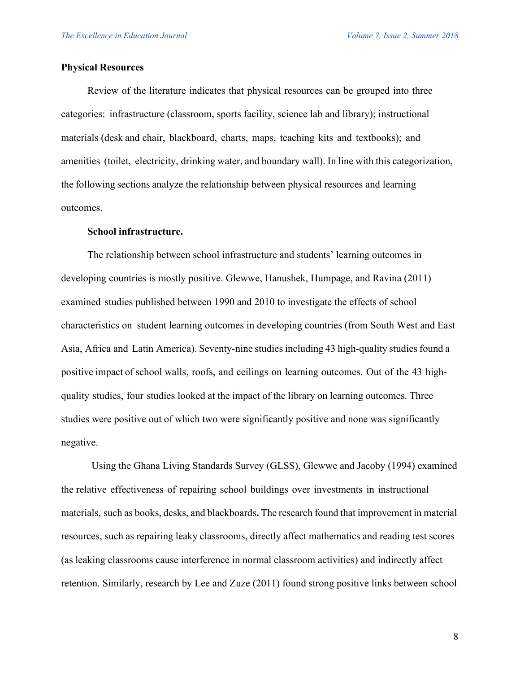#### **Physical Resources**

Review of the literature indicates that physical resources can be grouped into three categories: infrastructure (classroom, sports facility, science lab and library); instructional materials (desk and chair, blackboard, charts, maps, teaching kits and textbooks); and amenities (toilet, electricity, drinking water, and boundary wall). In line with this categorization, the following sections analyze the relationship between physical resources and learning outcomes.

#### **School infrastructure.**

The relationship between school infrastructure and students' learning outcomes in developing countries is mostly positive. Glewwe, Hanushek, Humpage, and Ravina (2011) examined studies published between 1990 and 2010 to investigate the effects of school characteristics on student learning outcomes in developing countries (from South West and East Asia, Africa and Latin America). Seventy-nine studies including 43 high-quality studies found a positive impact of school walls, roofs, and ceilings on learning outcomes. Out of the 43 highquality studies, four studies looked at the impact of the library on learning outcomes. Three studies were positive out of which two were significantly positive and none was significantly negative.

Using the Ghana Living Standards Survey (GLSS), Glewwe and Jacoby (1994) examined the relative effectiveness of repairing school buildings over investments in instructional materials, such as books, desks, and blackboards**.** The research found that improvement in material resources, such as repairing leaky classrooms, directly affect mathematics and reading test scores (as leaking classrooms cause interference in normal classroom activities) and indirectly affect retention. Similarly, research by Lee and Zuze (2011) found strong positive links between school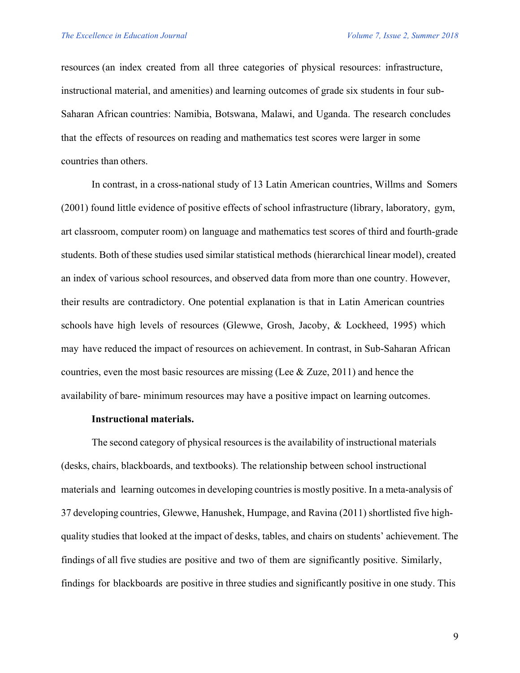resources (an index created from all three categories of physical resources: infrastructure, instructional material, and amenities) and learning outcomes of grade six students in four sub-Saharan African countries: Namibia, Botswana, Malawi, and Uganda. The research concludes that the effects of resources on reading and mathematics test scores were larger in some countries than others.

In contrast, in a cross-national study of 13 Latin American countries, Willms and Somers (2001) found little evidence of positive effects of school infrastructure (library, laboratory, gym, art classroom, computer room) on language and mathematics test scores of third and fourth-grade students. Both of these studies used similar statistical methods (hierarchical linear model), created an index of various school resources, and observed data from more than one country. However, their results are contradictory. One potential explanation is that in Latin American countries schools have high levels of resources (Glewwe, Grosh, Jacoby, & Lockheed, 1995) which may have reduced the impact of resources on achievement. In contrast, in Sub-Saharan African countries, even the most basic resources are missing (Lee & Zuze, 2011) and hence the availability of bare- minimum resources may have a positive impact on learning outcomes.

#### **Instructional materials.**

The second category of physical resources is the availability of instructional materials (desks, chairs, blackboards, and textbooks). The relationship between school instructional materials and learning outcomesin developing countriesis mostly positive. In a meta-analysis of 37 developing countries, Glewwe, Hanushek, Humpage, and Ravina (2011) shortlisted five highquality studies that looked at the impact of desks, tables, and chairs on students' achievement. The findings of all five studies are positive and two of them are significantly positive. Similarly, findings for blackboards are positive in three studies and significantly positive in one study. This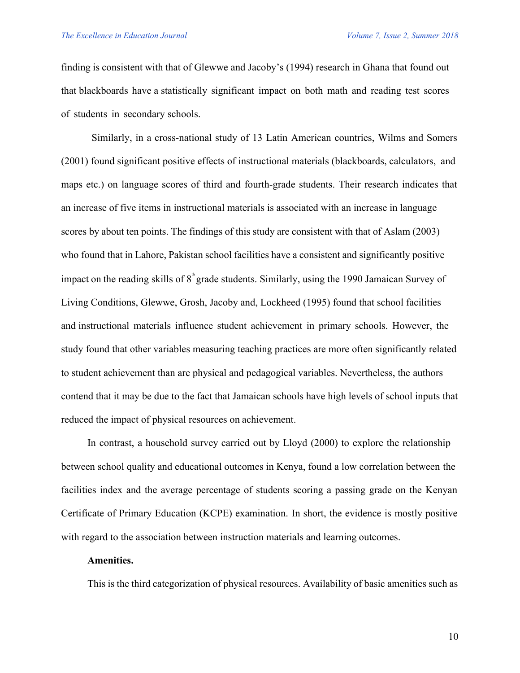finding is consistent with that of Glewwe and Jacoby's (1994) research in Ghana that found out that blackboards have a statistically significant impact on both math and reading test scores of students in secondary schools.

Similarly, in a cross-national study of 13 Latin American countries, Wilms and Somers (2001) found significant positive effects of instructional materials (blackboards, calculators, and maps etc.) on language scores of third and fourth-grade students. Their research indicates that an increase of five items in instructional materials is associated with an increase in language scores by about ten points. The findings of this study are consistent with that of Aslam (2003) who found that in Lahore, Pakistan school facilities have a consistent and significantly positive impact on the reading skills of  $8<sup>th</sup>$  grade students. Similarly, using the 1990 Jamaican Survey of Living Conditions, Glewwe, Grosh, Jacoby and, Lockheed (1995) found that school facilities and instructional materials influence student achievement in primary schools. However, the study found that other variables measuring teaching practices are more often significantly related to student achievement than are physical and pedagogical variables. Nevertheless, the authors contend that it may be due to the fact that Jamaican schools have high levels of school inputs that reduced the impact of physical resources on achievement.

In contrast, a household survey carried out by Lloyd (2000) to explore the relationship between school quality and educational outcomes in Kenya, found a low correlation between the facilities index and the average percentage of students scoring a passing grade on the Kenyan Certificate of Primary Education (KCPE) examination. In short, the evidence is mostly positive with regard to the association between instruction materials and learning outcomes.

#### **Amenities.**

This is the third categorization of physical resources. Availability of basic amenities such as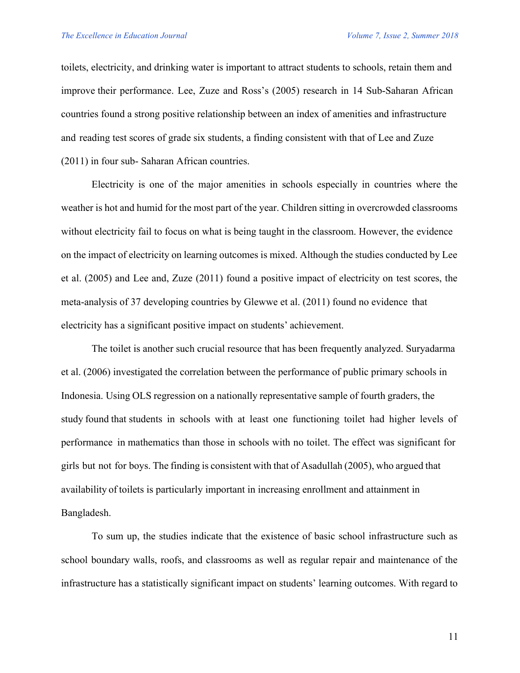toilets, electricity, and drinking water is important to attract students to schools, retain them and improve their performance. Lee, Zuze and Ross's (2005) research in 14 Sub-Saharan African countries found a strong positive relationship between an index of amenities and infrastructure and reading test scores of grade six students, a finding consistent with that of Lee and Zuze (2011) in four sub- Saharan African countries.

Electricity is one of the major amenities in schools especially in countries where the weather is hot and humid for the most part of the year. Children sitting in overcrowded classrooms without electricity fail to focus on what is being taught in the classroom. However, the evidence on the impact of electricity on learning outcomes is mixed. Although the studies conducted by Lee et al. (2005) and Lee and, Zuze (2011) found a positive impact of electricity on test scores, the meta-analysis of 37 developing countries by Glewwe et al. (2011) found no evidence that electricity has a significant positive impact on students' achievement.

The toilet is another such crucial resource that has been frequently analyzed. Suryadarma et al. (2006) investigated the correlation between the performance of public primary schools in Indonesia. Using OLS regression on a nationally representative sample of fourth graders, the study found that students in schools with at least one functioning toilet had higher levels of performance in mathematics than those in schools with no toilet. The effect was significant for girls but not for boys. The finding is consistent with that of Asadullah (2005), who argued that availability of toilets is particularly important in increasing enrollment and attainment in Bangladesh.

To sum up, the studies indicate that the existence of basic school infrastructure such as school boundary walls, roofs, and classrooms as well as regular repair and maintenance of the infrastructure has a statistically significant impact on students' learning outcomes. With regard to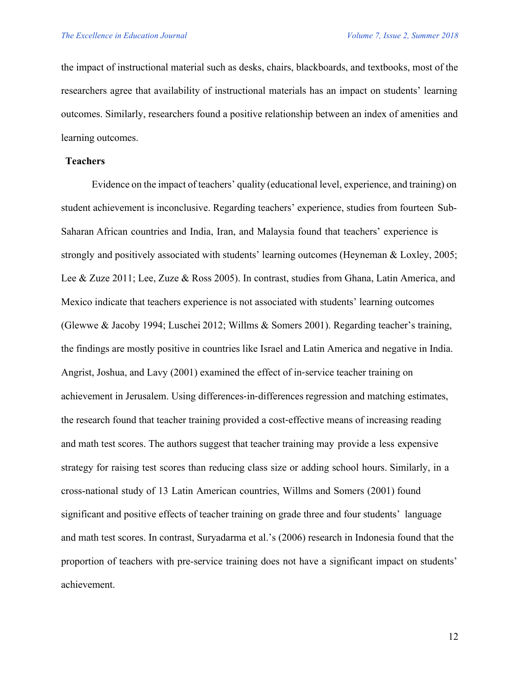the impact of instructional material such as desks, chairs, blackboards, and textbooks, most of the researchers agree that availability of instructional materials has an impact on students' learning outcomes. Similarly, researchers found a positive relationship between an index of amenities and learning outcomes.

## **Teachers**

Evidence on the impact of teachers' quality (educational level, experience, and training) on student achievement is inconclusive. Regarding teachers' experience, studies from fourteen Sub-Saharan African countries and India, Iran, and Malaysia found that teachers' experience is strongly and positively associated with students' learning outcomes (Heyneman & Loxley, 2005; Lee & Zuze 2011; Lee, Zuze & Ross 2005). In contrast, studies from Ghana, Latin America, and Mexico indicate that teachers experience is not associated with students' learning outcomes (Glewwe & Jacoby 1994; Luschei 2012; Willms & Somers 2001). Regarding teacher's training, the findings are mostly positive in countries like Israel and Latin America and negative in India. Angrist, Joshua, and Lavy (2001) examined the effect of in-service teacher training on achievement in Jerusalem. Using differences-in-differences regression and matching estimates, the research found that teacher training provided a cost-effective means of increasing reading and math test scores. The authors suggest that teacher training may provide a less expensive strategy for raising test scores than reducing class size or adding school hours. Similarly, in a cross-national study of 13 Latin American countries, Willms and Somers (2001) found significant and positive effects of teacher training on grade three and four students' language and math test scores. In contrast, Suryadarma et al.'s (2006) research in Indonesia found that the proportion of teachers with pre-service training does not have a significant impact on students' achievement.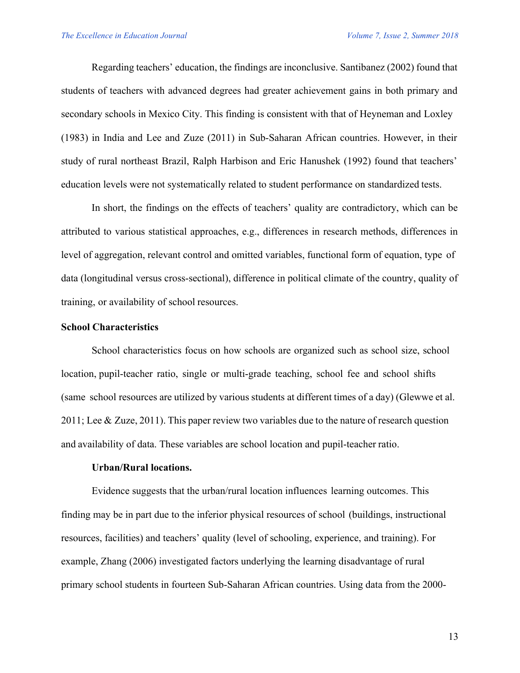Regarding teachers' education, the findings are inconclusive. Santibanez (2002) found that students of teachers with advanced degrees had greater achievement gains in both primary and secondary schools in Mexico City. This finding is consistent with that of Heyneman and Loxley (1983) in India and Lee and Zuze (2011) in Sub-Saharan African countries. However, in their study of rural northeast Brazil, Ralph Harbison and Eric Hanushek (1992) found that teachers' education levels were not systematically related to student performance on standardized tests.

In short, the findings on the effects of teachers' quality are contradictory, which can be attributed to various statistical approaches, e.g., differences in research methods, differences in level of aggregation, relevant control and omitted variables, functional form of equation, type of data (longitudinal versus cross-sectional), difference in political climate of the country, quality of training, or availability of school resources.

#### **School Characteristics**

School characteristics focus on how schools are organized such as school size, school location, pupil-teacher ratio, single or multi-grade teaching, school fee and school shifts (same school resources are utilized by various students at different times of a day) (Glewwe et al. 2011; Lee & Zuze, 2011). This paper review two variables due to the nature of research question and availability of data. These variables are school location and pupil-teacher ratio.

## **Urban/Rural locations.**

Evidence suggests that the urban/rural location influences learning outcomes. This finding may be in part due to the inferior physical resources of school (buildings, instructional resources, facilities) and teachers' quality (level of schooling, experience, and training). For example, Zhang (2006) investigated factors underlying the learning disadvantage of rural primary school students in fourteen Sub-Saharan African countries. Using data from the 2000-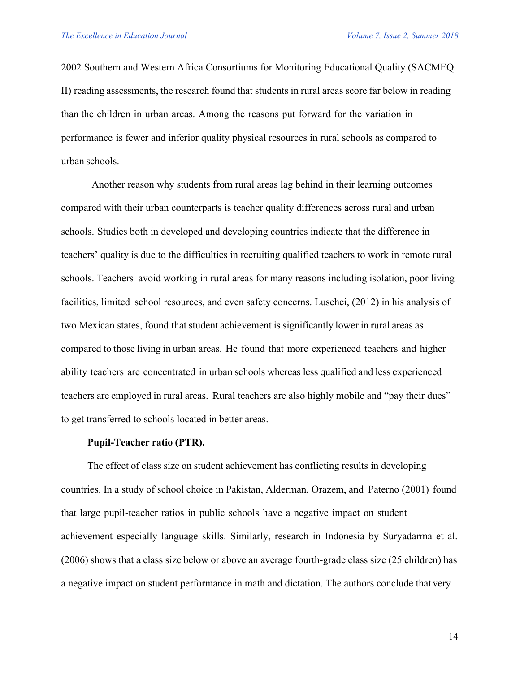2002 Southern and Western Africa Consortiums for Monitoring Educational Quality (SACMEQ II) reading assessments, the research found that students in rural areas score far below in reading than the children in urban areas. Among the reasons put forward for the variation in performance is fewer and inferior quality physical resources in rural schools as compared to urban schools.

Another reason why students from rural areas lag behind in their learning outcomes compared with their urban counterparts is teacher quality differences across rural and urban schools. Studies both in developed and developing countries indicate that the difference in teachers' quality is due to the difficulties in recruiting qualified teachers to work in remote rural schools. Teachers avoid working in rural areas for many reasons including isolation, poor living facilities, limited school resources, and even safety concerns. Luschei, (2012) in his analysis of two Mexican states, found that student achievement is significantly lower in rural areas as compared to those living in urban areas. He found that more experienced teachers and higher ability teachers are concentrated in urban schools whereas less qualified and less experienced teachers are employed in rural areas. Rural teachers are also highly mobile and "pay their dues" to get transferred to schools located in better areas.

#### **Pupil-Teacher ratio (PTR).**

The effect of class size on student achievement has conflicting results in developing countries. In a study of school choice in Pakistan, Alderman, Orazem, and Paterno (2001) found that large pupil-teacher ratios in public schools have a negative impact on student achievement especially language skills. Similarly, research in Indonesia by Suryadarma et al. (2006) shows that a class size below or above an average fourth-grade class size (25 children) has a negative impact on student performance in math and dictation. The authors conclude that very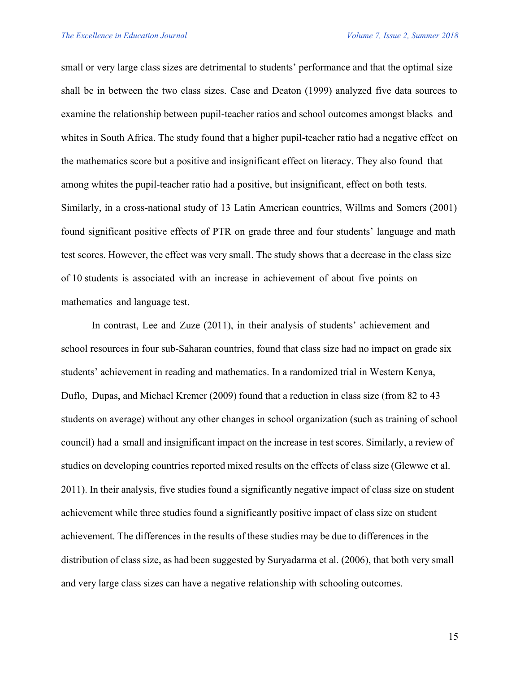small or very large class sizes are detrimental to students' performance and that the optimal size shall be in between the two class sizes. Case and Deaton (1999) analyzed five data sources to examine the relationship between pupil-teacher ratios and school outcomes amongst blacks and whites in South Africa. The study found that a higher pupil-teacher ratio had a negative effect on the mathematics score but a positive and insignificant effect on literacy. They also found that among whites the pupil-teacher ratio had a positive, but insignificant, effect on both tests. Similarly, in a cross-national study of 13 Latin American countries, Willms and Somers (2001) found significant positive effects of PTR on grade three and four students' language and math test scores. However, the effect was very small. The study shows that a decrease in the class size of 10 students is associated with an increase in achievement of about five points on mathematics and language test.

In contrast, Lee and Zuze (2011), in their analysis of students' achievement and school resources in four sub-Saharan countries, found that class size had no impact on grade six students' achievement in reading and mathematics. In a randomized trial in Western Kenya, Duflo, Dupas, and Michael Kremer (2009) found that a reduction in class size (from 82 to 43 students on average) without any other changes in school organization (such as training of school council) had a small and insignificant impact on the increase in test scores. Similarly, a review of studies on developing countries reported mixed results on the effects of class size (Glewwe et al. 2011). In their analysis, five studies found a significantly negative impact of class size on student achievement while three studies found a significantly positive impact of class size on student achievement. The differences in the results of these studies may be due to differences in the distribution of class size, as had been suggested by Suryadarma et al. (2006), that both very small and very large class sizes can have a negative relationship with schooling outcomes.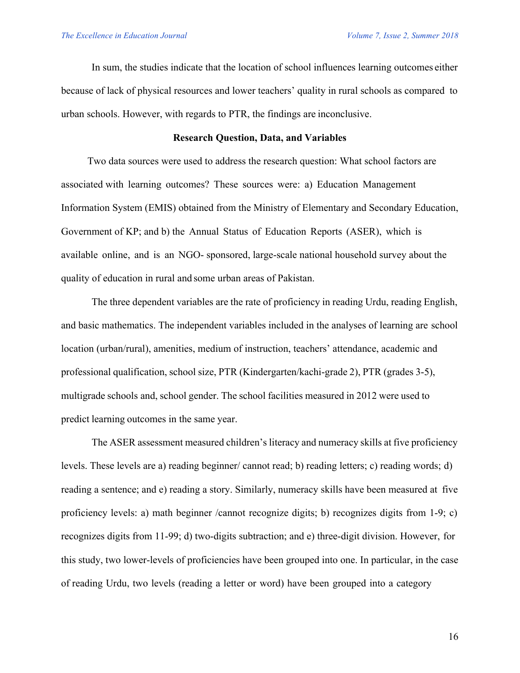In sum, the studies indicate that the location of school influences learning outcomes either because of lack of physical resources and lower teachers' quality in rural schools as compared to urban schools. However, with regards to PTR, the findings are inconclusive.

#### **Research Question, Data, and Variables**

Two data sources were used to address the research question: What school factors are associated with learning outcomes? These sources were: a) Education Management Information System (EMIS) obtained from the Ministry of Elementary and Secondary Education, Government of KP; and b) the Annual Status of Education Reports (ASER), which is available online, and is an NGO- sponsored, large-scale national household survey about the quality of education in rural and some urban areas of Pakistan.

The three dependent variables are the rate of proficiency in reading Urdu, reading English, and basic mathematics. The independent variables included in the analyses of learning are school location (urban/rural), amenities, medium of instruction, teachers' attendance, academic and professional qualification, school size, PTR (Kindergarten/kachi-grade 2), PTR (grades 3-5), multigrade schools and, school gender. The school facilities measured in 2012 were used to predict learning outcomes in the same year.

The ASER assessment measured children's literacy and numeracy skills at five proficiency levels. These levels are a) reading beginner/ cannot read; b) reading letters; c) reading words; d) reading a sentence; and e) reading a story. Similarly, numeracy skills have been measured at five proficiency levels: a) math beginner /cannot recognize digits; b) recognizes digits from 1-9; c) recognizes digits from 11-99; d) two-digits subtraction; and e) three-digit division. However, for this study, two lower-levels of proficiencies have been grouped into one. In particular, in the case of reading Urdu, two levels (reading a letter or word) have been grouped into a category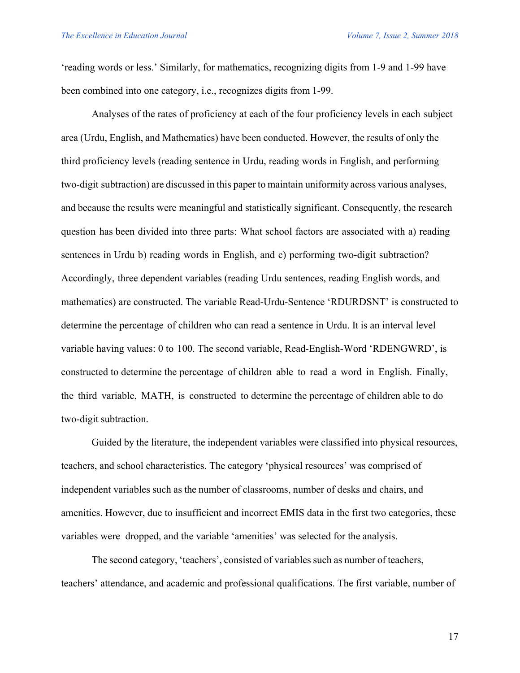'reading words or less.' Similarly, for mathematics, recognizing digits from 1-9 and 1-99 have been combined into one category, i.e., recognizes digits from 1-99.

Analyses of the rates of proficiency at each of the four proficiency levels in each subject area (Urdu, English, and Mathematics) have been conducted. However, the results of only the third proficiency levels (reading sentence in Urdu, reading words in English, and performing two-digit subtraction) are discussed in this paper to maintain uniformity across various analyses, and because the results were meaningful and statistically significant. Consequently, the research question has been divided into three parts: What school factors are associated with a) reading sentences in Urdu b) reading words in English, and c) performing two-digit subtraction? Accordingly, three dependent variables (reading Urdu sentences, reading English words, and mathematics) are constructed. The variable Read-Urdu-Sentence 'RDURDSNT' is constructed to determine the percentage of children who can read a sentence in Urdu. It is an interval level variable having values: 0 to 100. The second variable, Read-English-Word 'RDENGWRD', is constructed to determine the percentage of children able to read a word in English. Finally, the third variable, MATH, is constructed to determine the percentage of children able to do two-digit subtraction.

Guided by the literature, the independent variables were classified into physical resources, teachers, and school characteristics. The category 'physical resources' was comprised of independent variables such as the number of classrooms, number of desks and chairs, and amenities. However, due to insufficient and incorrect EMIS data in the first two categories, these variables were dropped, and the variable 'amenities' was selected for the analysis.

The second category, 'teachers', consisted of variables such as number of teachers, teachers' attendance, and academic and professional qualifications. The first variable, number of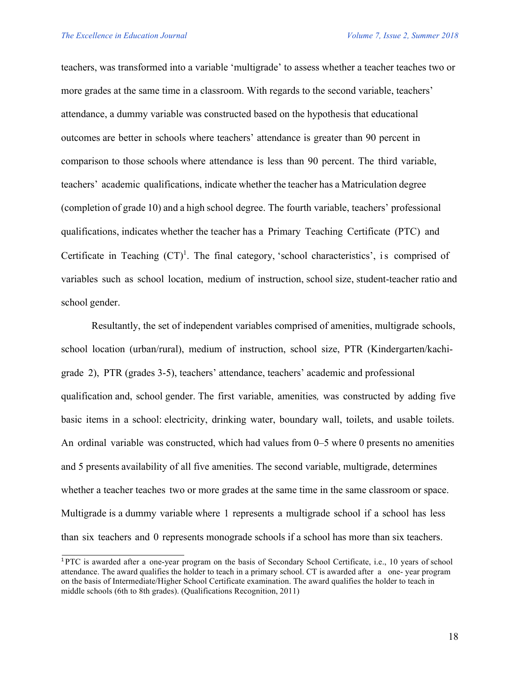teachers, was transformed into a variable 'multigrade' to assess whether a teacher teaches two or more grades at the same time in a classroom. With regards to the second variable, teachers' attendance, a dummy variable was constructed based on the hypothesis that educational outcomes are better in schools where teachers' attendance is greater than 90 percent in comparison to those schools where attendance is less than 90 percent. The third variable, teachers' academic qualifications, indicate whether the teacher has a Matriculation degree (completion of grade 10) and a high school degree. The fourth variable, teachers' professional qualifications, indicates whether the teacher has a Primary Teaching Certificate (PTC) and Certificate in Teaching  $(CT)^1$ . The final category, 'school characteristics', is comprised of variables such as school location, medium of instruction, school size, student-teacher ratio and school gender.

Resultantly, the set of independent variables comprised of amenities, multigrade schools, school location (urban/rural), medium of instruction, school size, PTR (Kindergarten/kachigrade 2), PTR (grades 3-5), teachers' attendance, teachers' academic and professional qualification and, school gender. The first variable, amenities*,* was constructed by adding five basic items in a school: electricity, drinking water, boundary wall, toilets, and usable toilets. An ordinal variable was constructed, which had values from 0–5 where 0 presents no amenities and 5 presents availability of all five amenities. The second variable, multigrade, determines whether a teacher teaches two or more grades at the same time in the same classroom or space. Multigrade is a dummy variable where 1 represents a multigrade school if a school has less than six teachers and 0 represents monograde schools if a school has more than six teachers.

<sup>1</sup> PTC is awarded after a one-year program on the basis of Secondary School Certificate, i.e., 10 years of school attendance. The award qualifies the holder to teach in a primary school. CT is awarded after a one- year program on the basis of Intermediate/Higher School Certificate examination. The award qualifies the holder to teach in middle schools (6th to 8th grades). (Qualifications Recognition, 2011)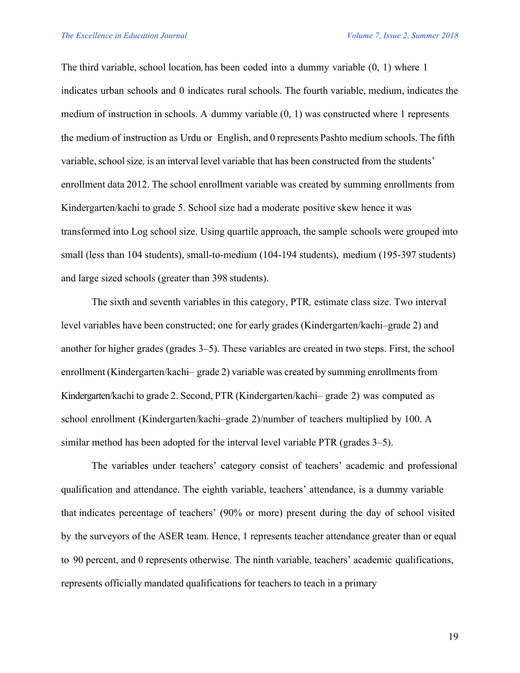The third variable, school location*,*has been coded into a dummy variable (0, 1) where 1 indicates urban schools and 0 indicates rural schools. The fourth variable, medium, indicates the medium of instruction in schools. A dummy variable (0, 1) was constructed where 1 represents the medium of instruction as Urdu or English, and 0 represents Pashto medium schools. The fifth variable, school size, is an interval level variable that has been constructed from the students' enrollment data 2012. The school enrollment variable was created by summing enrollments from Kindergarten/kachi to grade 5. School size had a moderate positive skew hence it was transformed into Log school size. Using quartile approach, the sample schools were grouped into small (less than 104 students), small-to-medium (104-194 students), medium (195-397 students) and large sized schools (greater than 398 students).

The sixth and seventh variables in this category, PTR*,* estimate class size. Two interval level variables have been constructed; one for early grades (Kindergarten/kachi–grade 2) and another for higher grades (grades 3–5). These variables are created in two steps. First, the school enrollment (Kindergarten/kachi– grade 2) variable was created by summing enrollments from Kindergarten/kachi to grade 2. Second, PTR (Kindergarten/kachi– grade 2) was computed as school enrollment (Kindergarten/kachi–grade 2)/number of teachers multiplied by 100. A similar method has been adopted for the interval level variable PTR (grades 3–5).

The variables under teachers' category consist of teachers' academic and professional qualification and attendance. The eighth variable, teachers' attendance, is a dummy variable that indicates percentage of teachers' (90% or more) present during the day of school visited by the surveyors of the ASER team. Hence, 1 represents teacher attendance greater than or equal to 90 percent, and 0 represents otherwise. The ninth variable, teachers' academic qualifications, represents officially mandated qualifications for teachers to teach in a primary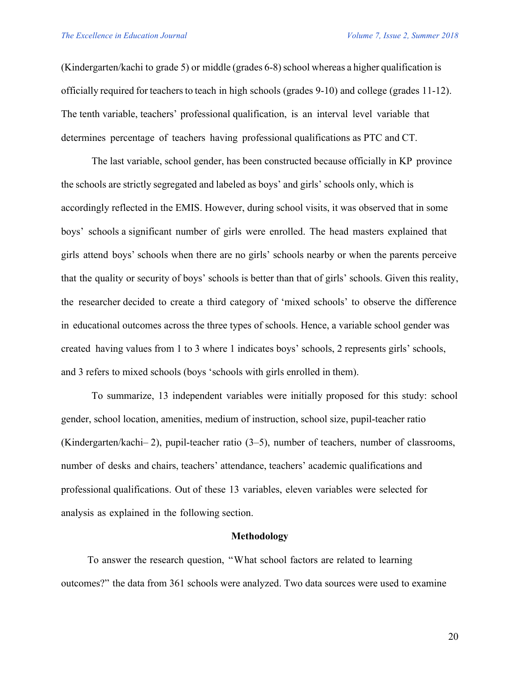(Kindergarten/kachi to grade 5) or middle (grades 6-8)school whereas a higher qualification is officially required for teachers to teach in high schools (grades 9-10) and college (grades 11-12). The tenth variable, teachers' professional qualification, is an interval level variable that determines percentage of teachers having professional qualifications as PTC and CT.

The last variable, school gender, has been constructed because officially in KP province the schools are strictly segregated and labeled as boys' and girls' schools only, which is accordingly reflected in the EMIS. However, during school visits, it was observed that in some boys' schools a significant number of girls were enrolled. The head masters explained that girls attend boys' schools when there are no girls' schools nearby or when the parents perceive that the quality or security of boys' schools is better than that of girls' schools. Given this reality, the researcher decided to create a third category of 'mixed schools' to observe the difference in educational outcomes across the three types of schools. Hence, a variable school gender was created having values from 1 to 3 where 1 indicates boys' schools, 2 represents girls' schools, and 3 refers to mixed schools (boys 'schools with girls enrolled in them).

To summarize, 13 independent variables were initially proposed for this study: school gender, school location, amenities, medium of instruction, school size, pupil-teacher ratio (Kindergarten/kachi– 2), pupil-teacher ratio (3–5), number of teachers, number of classrooms, number of desks and chairs, teachers' attendance, teachers' academic qualifications and professional qualifications. Out of these 13 variables, eleven variables were selected for analysis as explained in the following section.

#### **Methodology**

To answer the research question, "What school factors are related to learning outcomes?" the data from 361 schools were analyzed. Two data sources were used to examine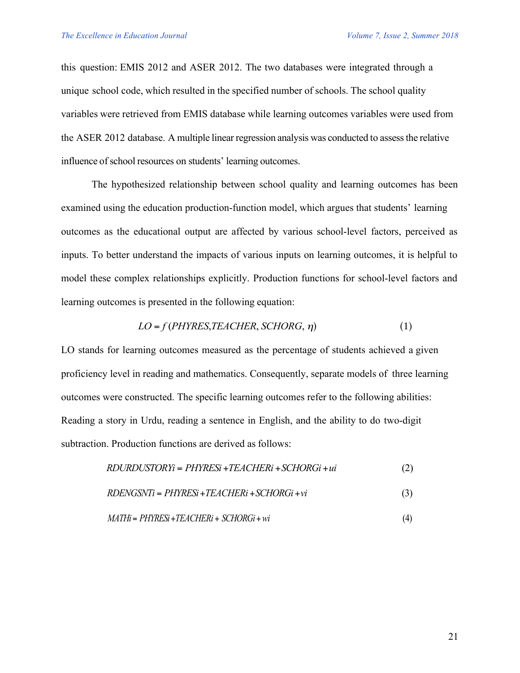this question: EMIS 2012 and ASER 2012. The two databases were integrated through a unique school code, which resulted in the specified number of schools. The school quality variables were retrieved from EMIS database while learning outcomes variables were used from the ASER 2012 database. A multiple linear regression analysis was conducted to assessthe relative influence of school resources on students' learning outcomes.

The hypothesized relationship between school quality and learning outcomes has been examined using the education production-function model, which argues that students' learning outcomes as the educational output are affected by various school-level factors, perceived as inputs. To better understand the impacts of various inputs on learning outcomes, it is helpful to model these complex relationships explicitly. Production functions for school-level factors and learning outcomes is presented in the following equation:

$$
LO = f(PHYRES, TEACHER, SCHORG, \eta)
$$
 (1)

LO stands for learning outcomes measured as the percentage of students achieved a given proficiency level in reading and mathematics. Consequently, separate models of three learning outcomes were constructed. The specific learning outcomes refer to the following abilities: Reading a story in Urdu, reading a sentence in English, and the ability to do two-digit subtraction. Production functions are derived as follows:

$$
RDURDUSTORYi = PHYRESi + TEACHERi + SCHORGi + ui \tag{2}
$$

$$
RDENGSNTi = PHYRESi + TEACHERi + SCHORGi + vi \tag{3}
$$

$$
MATHi = PHYRESi + TEACHERi + SCHORGi + wi \tag{4}
$$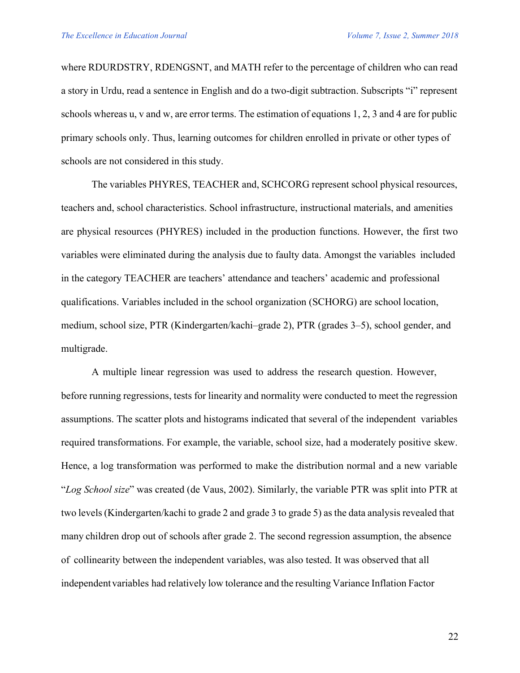where RDURDSTRY, RDENGSNT, and MATH refer to the percentage of children who can read a story in Urdu, read a sentence in English and do a two-digit subtraction. Subscripts "i" represent schools whereas u, v and w, are error terms. The estimation of equations 1, 2, 3 and 4 are for public primary schools only. Thus, learning outcomes for children enrolled in private or other types of schools are not considered in this study.

The variables PHYRES, TEACHER and, SCHCORG represent school physical resources, teachers and, school characteristics. School infrastructure, instructional materials, and amenities are physical resources (PHYRES) included in the production functions. However, the first two variables were eliminated during the analysis due to faulty data. Amongst the variables included in the category TEACHER are teachers' attendance and teachers' academic and professional qualifications. Variables included in the school organization (SCHORG) are school location, medium, school size, PTR (Kindergarten/kachi–grade 2), PTR (grades 3–5), school gender, and multigrade.

A multiple linear regression was used to address the research question. However, before running regressions, tests for linearity and normality were conducted to meet the regression assumptions. The scatter plots and histograms indicated that several of the independent variables required transformations. For example, the variable, school size, had a moderately positive skew. Hence, a log transformation was performed to make the distribution normal and a new variable "*Log School size*" was created (de Vaus, 2002). Similarly, the variable PTR was split into PTR at two levels (Kindergarten/kachi to grade 2 and grade 3 to grade 5) as the data analysis revealed that many children drop out of schools after grade 2. The second regression assumption, the absence of collinearity between the independent variables, was also tested. It was observed that all independentvariables had relatively low tolerance and the resulting Variance Inflation Factor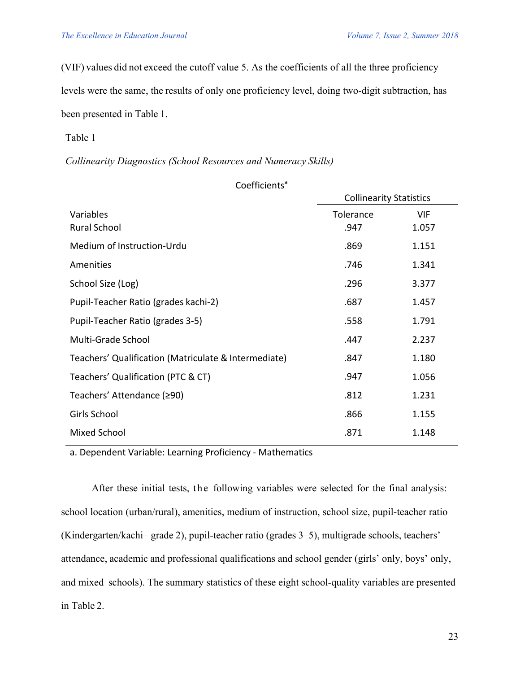(VIF) values did not exceed the cutoff value 5. As the coefficients of all the three proficiency levels were the same, the results of only one proficiency level, doing two-digit subtraction, has been presented in Table 1.

 $Coefficients<sup>a</sup>$ 

Table 1

*Collinearity Diagnostics (School Resources and Numeracy Skills)*

|                                                      | <b>Collinearity Statistics</b> |            |  |
|------------------------------------------------------|--------------------------------|------------|--|
| Variables                                            | Tolerance                      | <b>VIF</b> |  |
| <b>Rural School</b>                                  | .947                           | 1.057      |  |
| Medium of Instruction-Urdu                           | .869                           | 1.151      |  |
| Amenities                                            | .746                           | 1.341      |  |
| School Size (Log)                                    | .296                           | 3.377      |  |
| Pupil-Teacher Ratio (grades kachi-2)                 | .687                           | 1.457      |  |
| Pupil-Teacher Ratio (grades 3-5)                     | .558                           | 1.791      |  |
| Multi-Grade School                                   | .447                           | 2.237      |  |
| Teachers' Qualification (Matriculate & Intermediate) | .847                           | 1.180      |  |
| Teachers' Qualification (PTC & CT)                   | .947                           | 1.056      |  |
| Teachers' Attendance (≥90)                           | .812                           | 1.231      |  |
| Girls School                                         | .866                           | 1.155      |  |
| Mixed School                                         | .871                           | 1.148      |  |

a. Dependent Variable: Learning Proficiency - Mathematics

After these initial tests, the following variables were selected for the final analysis: school location (urban/rural), amenities, medium of instruction, school size, pupil-teacher ratio (Kindergarten/kachi– grade 2), pupil-teacher ratio (grades 3–5), multigrade schools, teachers' attendance, academic and professional qualifications and school gender (girls' only, boys' only, and mixed schools). The summary statistics of these eight school-quality variables are presented in Table 2.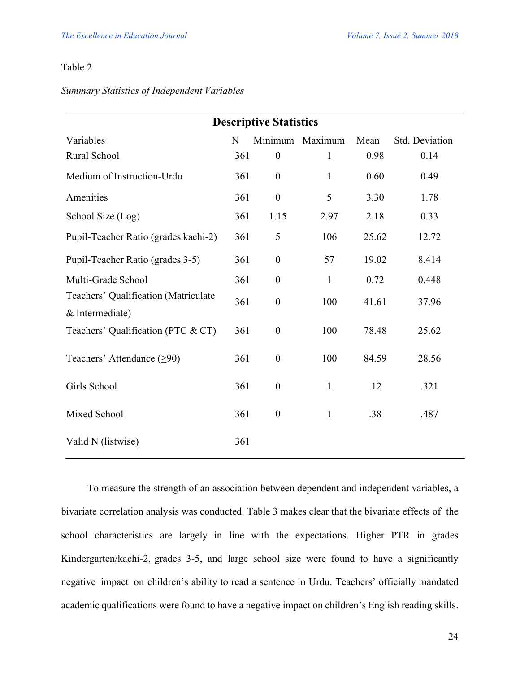## Table 2

## *Summary Statistics of Independent Variables*

| <b>Descriptive Statistics</b>                           |     |                  |                 |       |                |  |
|---------------------------------------------------------|-----|------------------|-----------------|-------|----------------|--|
| Variables                                               | N   |                  | Minimum Maximum | Mean  | Std. Deviation |  |
| Rural School                                            | 361 | $\boldsymbol{0}$ | 1               | 0.98  | 0.14           |  |
| Medium of Instruction-Urdu                              | 361 | $\boldsymbol{0}$ | $\mathbf{1}$    | 0.60  | 0.49           |  |
| Amenities                                               | 361 | $\boldsymbol{0}$ | 5               | 3.30  | 1.78           |  |
| School Size (Log)                                       | 361 | 1.15             | 2.97            | 2.18  | 0.33           |  |
| Pupil-Teacher Ratio (grades kachi-2)                    | 361 | 5                | 106             | 25.62 | 12.72          |  |
| Pupil-Teacher Ratio (grades 3-5)                        | 361 | $\boldsymbol{0}$ | 57              | 19.02 | 8.414          |  |
| Multi-Grade School                                      | 361 | $\boldsymbol{0}$ | $\mathbf{1}$    | 0.72  | 0.448          |  |
| Teachers' Qualification (Matriculate<br>& Intermediate) | 361 | $\boldsymbol{0}$ | 100             | 41.61 | 37.96          |  |
| Teachers' Qualification (PTC & CT)                      | 361 | $\boldsymbol{0}$ | 100             | 78.48 | 25.62          |  |
| Teachers' Attendance $(≥90)$                            | 361 | $\boldsymbol{0}$ | 100             | 84.59 | 28.56          |  |
| Girls School                                            | 361 | $\boldsymbol{0}$ | $\mathbf{1}$    | .12   | .321           |  |
| Mixed School                                            | 361 | $\boldsymbol{0}$ | $\mathbf{1}$    | .38   | .487           |  |
| Valid N (listwise)                                      | 361 |                  |                 |       |                |  |

To measure the strength of an association between dependent and independent variables, a bivariate correlation analysis was conducted. Table 3 makes clear that the bivariate effects of the school characteristics are largely in line with the expectations. Higher PTR in grades Kindergarten/kachi-2, grades 3-5, and large school size were found to have a significantly negative impact on children's ability to read a sentence in Urdu. Teachers' officially mandated academic qualifications were found to have a negative impact on children's English reading skills.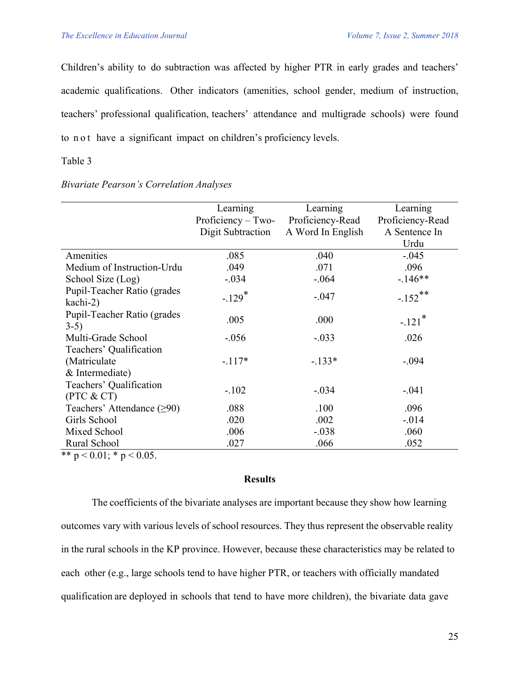Children's ability to do subtraction was affected by higher PTR in early grades and teachers' academic qualifications. Other indicators (amenities, school gender, medium of instruction, teachers' professional qualification, teachers' attendance and multigrade schools) were found to not have a significant impact on children's proficiency levels.

## Table 3

## *Bivariate Pearson's Correlation Analyses*

|                              | Learning             | Learning          | Learning             |
|------------------------------|----------------------|-------------------|----------------------|
|                              | Proficiency $-$ Two- | Proficiency-Read  | Proficiency-Read     |
|                              | Digit Subtraction    | A Word In English | A Sentence In        |
|                              |                      |                   | Urdu                 |
| Amenities                    | .085                 | .040              | $-.045$              |
| Medium of Instruction-Urdu   | .049                 | .071              | .096                 |
| School Size (Log)            | $-.034$              | $-.064$           | $-146**$             |
| Pupil-Teacher Ratio (grades  | $-.129*$             | $-.047$           | $-.152***$           |
| kachi-2)                     |                      |                   |                      |
| Pupil-Teacher Ratio (grades  | .005                 | .000              | $-.121$ <sup>*</sup> |
| $3-5)$                       |                      |                   |                      |
| Multi-Grade School           | $-.056$              | $-.033$           | .026                 |
| Teachers' Qualification      |                      |                   |                      |
| (Matriculate)                | $-.117*$             | $-133*$           | $-.094$              |
| & Intermediate)              |                      |                   |                      |
| Teachers' Qualification      |                      |                   |                      |
| (PTC & CT)                   | $-.102$              | $-.034$           | $-.041$              |
| Teachers' Attendance $(≥90)$ | .088                 | .100              | .096                 |
| Girls School                 | .020                 | .002              | $-0.014$             |
| Mixed School                 | .006                 | $-.038$           | .060                 |
| Rural School                 | .027                 | .066              | .052                 |

\*\*  $p < 0.01$ ; \*  $p < 0.05$ .

## **Results**

The coefficients of the bivariate analyses are important because they show how learning outcomes vary with various levels of school resources. They thus represent the observable reality in the rural schools in the KP province. However, because these characteristics may be related to each other (e.g., large schools tend to have higher PTR, or teachers with officially mandated qualification are deployed in schools that tend to have more children), the bivariate data gave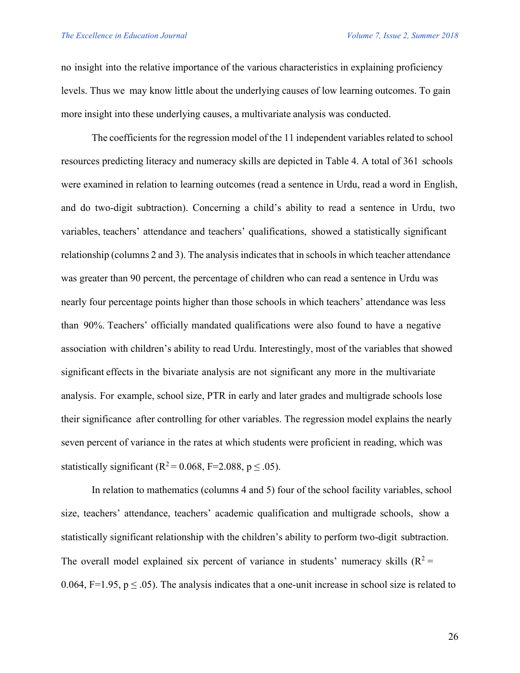no insight into the relative importance of the various characteristics in explaining proficiency levels. Thus we may know little about the underlying causes of low learning outcomes. To gain more insight into these underlying causes, a multivariate analysis was conducted.

The coefficients for the regression model of the 11 independent variables related to school resources predicting literacy and numeracy skills are depicted in Table 4. A total of 361 schools were examined in relation to learning outcomes (read a sentence in Urdu, read a word in English, and do two-digit subtraction). Concerning a child's ability to read a sentence in Urdu, two variables, teachers' attendance and teachers' qualifications, showed a statistically significant relationship (columns 2 and 3). The analysis indicates that in schools in which teacher attendance was greater than 90 percent, the percentage of children who can read a sentence in Urdu was nearly four percentage points higher than those schools in which teachers' attendance was less than 90%. Teachers' officially mandated qualifications were also found to have a negative association with children's ability to read Urdu. Interestingly, most of the variables that showed significant effects in the bivariate analysis are not significant any more in the multivariate analysis. For example, school size, PTR in early and later grades and multigrade schools lose their significance after controlling for other variables. The regression model explains the nearly seven percent of variance in the rates at which students were proficient in reading, which was statistically significant ( $R^2$  = 0.068, F=2.088, p  $\leq$  .05).

In relation to mathematics (columns 4 and 5) four of the school facility variables, school size, teachers' attendance, teachers' academic qualification and multigrade schools, show a statistically significant relationship with the children's ability to perform two-digit subtraction. The overall model explained six percent of variance in students' numeracy skills  $(R^2 =$ 0.064, F=1.95,  $p \le 0.05$ ). The analysis indicates that a one-unit increase in school size is related to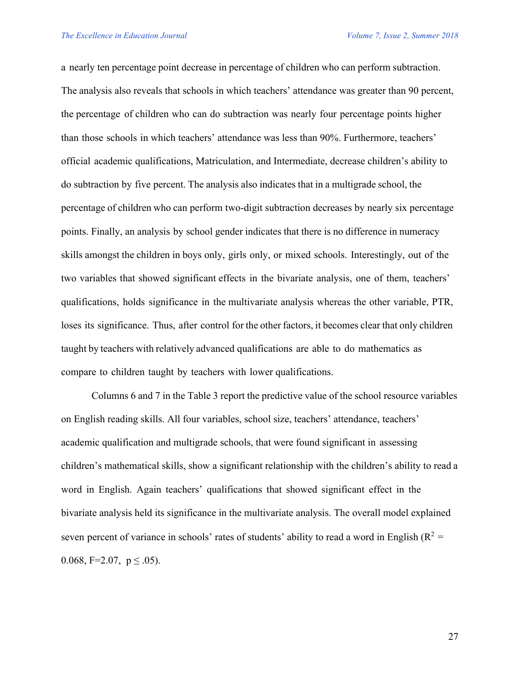a nearly ten percentage point decrease in percentage of children who can perform subtraction. The analysis also reveals that schools in which teachers' attendance was greater than 90 percent, the percentage of children who can do subtraction was nearly four percentage points higher than those schools in which teachers' attendance was less than 90%. Furthermore, teachers' official academic qualifications, Matriculation, and Intermediate, decrease children's ability to do subtraction by five percent. The analysis also indicates that in a multigrade school, the percentage of children who can perform two-digit subtraction decreases by nearly six percentage points. Finally, an analysis by school gender indicates that there is no difference in numeracy skills amongst the children in boys only, girls only, or mixed schools. Interestingly, out of the two variables that showed significant effects in the bivariate analysis, one of them, teachers' qualifications, holds significance in the multivariate analysis whereas the other variable, PTR, loses its significance. Thus, after control for the other factors, it becomes clear that only children taught by teachers with relatively advanced qualifications are able to do mathematics as compare to children taught by teachers with lower qualifications.

Columns 6 and 7 in the Table 3 report the predictive value of the school resource variables on English reading skills. All four variables, school size, teachers' attendance, teachers' academic qualification and multigrade schools, that were found significant in assessing children's mathematical skills, show a significant relationship with the children's ability to read a word in English. Again teachers' qualifications that showed significant effect in the bivariate analysis held its significance in the multivariate analysis. The overall model explained seven percent of variance in schools' rates of students' ability to read a word in English ( $R^2$  = 0.068, F=2.07,  $p \leq .05$ ).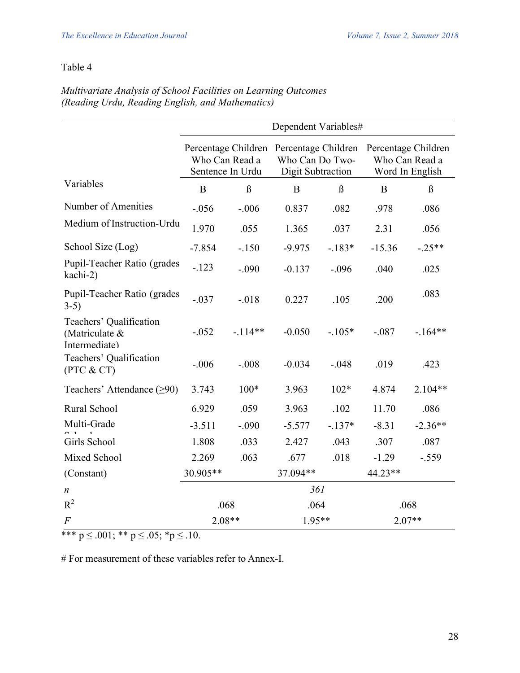# Table 4

|                                                            | Dependent Variables#               |          |                                                                                 |          |                                                          |           |
|------------------------------------------------------------|------------------------------------|----------|---------------------------------------------------------------------------------|----------|----------------------------------------------------------|-----------|
|                                                            | Who Can Read a<br>Sentence In Urdu |          | Percentage Children Percentage Children<br>Who Can Do Two-<br>Digit Subtraction |          | Percentage Children<br>Who Can Read a<br>Word In English |           |
| Variables                                                  | B                                  | $\beta$  | B                                                                               | $\beta$  | B                                                        | $\beta$   |
| Number of Amenities                                        | $-.056$                            | $-.006$  | 0.837                                                                           | .082     | .978                                                     | .086      |
| Medium of Instruction-Urdu                                 | 1.970                              | .055     | 1.365                                                                           | .037     | 2.31                                                     | .056      |
| School Size (Log)                                          | $-7.854$                           | $-150$   | $-9.975$                                                                        | $-183*$  | $-15.36$                                                 | $-.25**$  |
| Pupil-Teacher Ratio (grades<br>kachi-2)                    | $-123$                             | $-.090$  | $-0.137$                                                                        | $-.096$  | .040                                                     | .025      |
| Pupil-Teacher Ratio (grades<br>$3-5)$                      | $-.037$                            | $-018$   | 0.227                                                                           | .105     | .200                                                     | .083      |
| Teachers' Qualification<br>(Matriculate &<br>Intermediate) | $-0.052$                           | $-114**$ | $-0.050$                                                                        | $-.105*$ | $-.087$                                                  | $-164**$  |
| Teachers' Qualification<br>(PTC & CT)                      | $-.006$                            | $-.008$  | $-0.034$                                                                        | $-.048$  | .019                                                     | .423      |
| Teachers' Attendance $(≥90)$                               | 3.743                              | $100*$   | 3.963                                                                           | $102*$   | 4.874                                                    | 2.104**   |
| Rural School                                               | 6.929                              | .059     | 3.963                                                                           | .102     | 11.70                                                    | .086      |
| Multi-Grade                                                | $-3.511$                           | $-.090$  | $-5.577$                                                                        | $-.137*$ | $-8.31$                                                  | $-2.36**$ |
| Girls School                                               | 1.808                              | .033     | 2.427                                                                           | .043     | .307                                                     | .087      |
| Mixed School                                               | 2.269                              | .063     | .677                                                                            | .018     | $-1.29$                                                  | $-.559$   |
| (Constant)                                                 | 30.905**                           |          | 37.094**                                                                        |          | 44.23**                                                  |           |
| $\boldsymbol{n}$                                           | 361                                |          |                                                                                 |          |                                                          |           |
| $R^2$                                                      | .068                               |          | .064                                                                            |          | .068                                                     |           |
| $\boldsymbol{F}$                                           | $2.08**$                           |          | $1.95**$                                                                        |          | $2.07**$                                                 |           |

## *Multivariate Analysis of School Facilities on Learning Outcomes (Reading Urdu, Reading English, and Mathematics)*

\*\*\*  $p \le 0.001$ ; \*\*  $p \le 0.05$ ; \* $p \le 0.10$ .

# For measurement of these variables refer to Annex-I.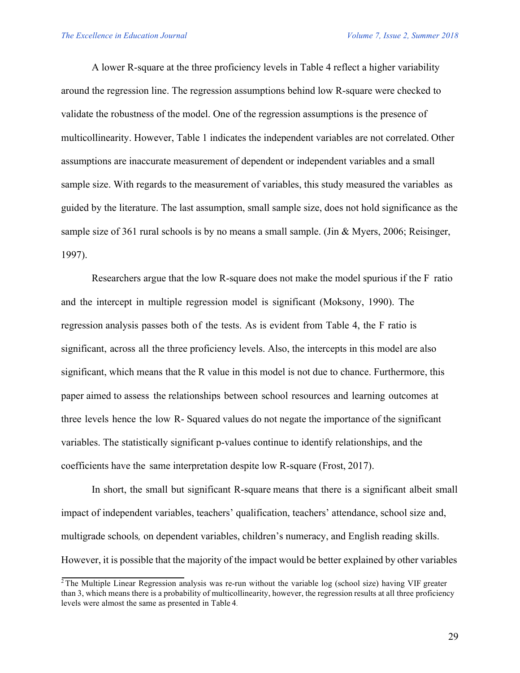A lower R-square at the three proficiency levels in Table 4 reflect a higher variability around the regression line. The regression assumptions behind low R-square were checked to validate the robustness of the model. One of the regression assumptions is the presence of multicollinearity. However, Table 1 indicates the independent variables are not correlated. Other assumptions are inaccurate measurement of dependent or independent variables and a small sample size. With regards to the measurement of variables, this study measured the variables as guided by the literature. The last assumption, small sample size, does not hold significance as the sample size of 361 rural schools is by no means a small sample. (Jin & Myers, 2006; Reisinger, 1997).

Researchers argue that the low R-square does not make the model spurious if the F ratio and the intercept in multiple regression model is significant (Moksony, 1990). The regression analysis passes both of the tests. As is evident from Table 4, the F ratio is significant, across all the three proficiency levels. Also, the intercepts in this model are also significant, which means that the R value in this model is not due to chance. Furthermore, this paper aimed to assess the relationships between school resources and learning outcomes at three levels hence the low R- Squared values do not negate the importance of the significant variables. The statistically significant p-values continue to identify relationships, and the coefficients have the same interpretation despite low R-square (Frost, 2017).

In short, the small but significant R-square means that there is a significant albeit small impact of independent variables, teachers' qualification, teachers' attendance, school size and, multigrade schools*,* on dependent variables, children's numeracy, and English reading skills. However, it is possible that the majority of the impact would be better explained by other variables

<sup>&</sup>lt;sup>2</sup> The Multiple Linear Regression analysis was re-run without the variable log (school size) having VIF greater than 3, which means there is a probability of multicollinearity, however, the regression results at all three proficiency levels were almost the same as presented in Table 4.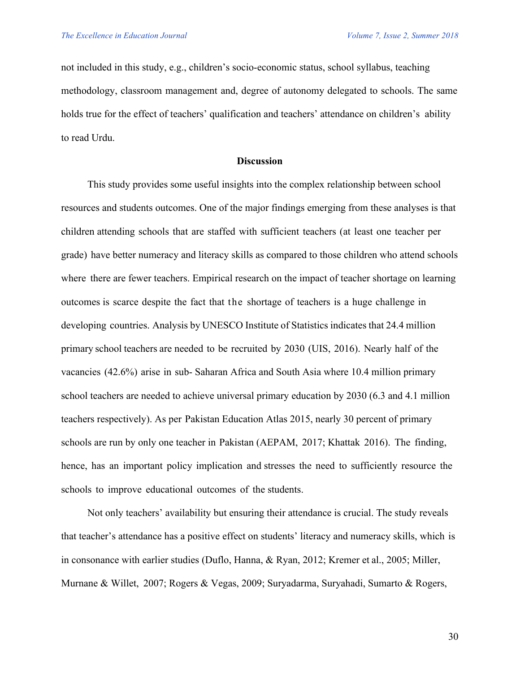not included in this study, e.g., children's socio-economic status, school syllabus, teaching methodology, classroom management and, degree of autonomy delegated to schools. The same holds true for the effect of teachers' qualification and teachers' attendance on children's ability to read Urdu.

#### **Discussion**

This study provides some useful insights into the complex relationship between school resources and students outcomes. One of the major findings emerging from these analyses is that children attending schools that are staffed with sufficient teachers (at least one teacher per grade) have better numeracy and literacy skills as compared to those children who attend schools where there are fewer teachers. Empirical research on the impact of teacher shortage on learning outcomes is scarce despite the fact that the shortage of teachers is a huge challenge in developing countries. Analysis by UNESCO Institute of Statistics indicates that 24.4 million primary school teachers are needed to be recruited by 2030 (UIS, 2016). Nearly half of the vacancies (42.6%) arise in sub- Saharan Africa and South Asia where 10.4 million primary school teachers are needed to achieve universal primary education by 2030 (6.3 and 4.1 million teachers respectively). As per Pakistan Education Atlas 2015, nearly 30 percent of primary schools are run by only one teacher in Pakistan (AEPAM, 2017; Khattak 2016). The finding, hence, has an important policy implication and stresses the need to sufficiently resource the schools to improve educational outcomes of the students.

Not only teachers' availability but ensuring their attendance is crucial. The study reveals that teacher's attendance has a positive effect on students' literacy and numeracy skills, which is in consonance with earlier studies (Duflo, Hanna, & Ryan, 2012; Kremer et al., 2005; Miller, Murnane & Willet, 2007; Rogers & Vegas, 2009; Suryadarma, Suryahadi, Sumarto & Rogers,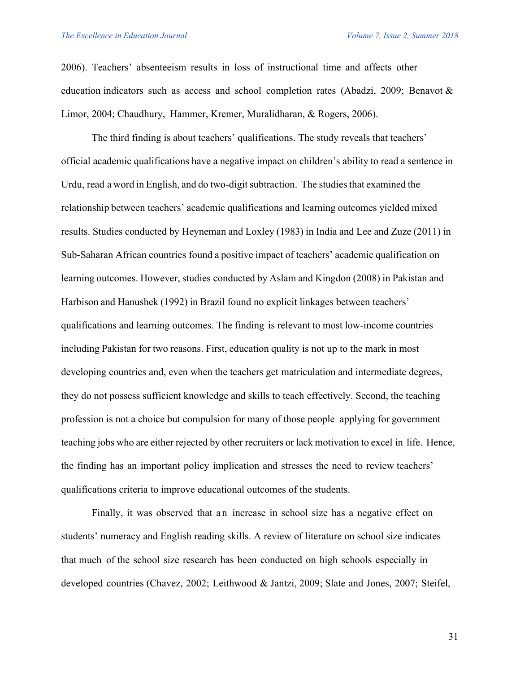2006). Teachers' absenteeism results in loss of instructional time and affects other education indicators such as access and school completion rates (Abadzi, 2009; Benavot & Limor, 2004; Chaudhury, Hammer, Kremer, Muralidharan, & Rogers, 2006).

The third finding is about teachers' qualifications. The study reveals that teachers' official academic qualifications have a negative impact on children's ability to read a sentence in Urdu, read a word in English, and do two-digit subtraction. The studies that examined the relationship between teachers' academic qualifications and learning outcomes yielded mixed results. Studies conducted by Heyneman and Loxley (1983) in India and Lee and Zuze (2011) in Sub-Saharan African countries found a positive impact of teachers' academic qualification on learning outcomes. However, studies conducted by Aslam and Kingdon (2008) in Pakistan and Harbison and Hanushek (1992) in Brazil found no explicit linkages between teachers' qualifications and learning outcomes. The finding is relevant to most low-income countries including Pakistan for two reasons. First, education quality is not up to the mark in most developing countries and, even when the teachers get matriculation and intermediate degrees, they do not possess sufficient knowledge and skills to teach effectively. Second, the teaching profession is not a choice but compulsion for many of those people applying for government teaching jobs who are either rejected by other recruiters or lack motivation to excel in life. Hence, the finding has an important policy implication and stresses the need to review teachers' qualifications criteria to improve educational outcomes of the students.

Finally, it was observed that an increase in school size has a negative effect on students' numeracy and English reading skills. A review of literature on school size indicates that much of the school size research has been conducted on high schools especially in developed countries (Chavez, 2002; Leithwood & Jantzi, 2009; Slate and Jones, 2007; Steifel,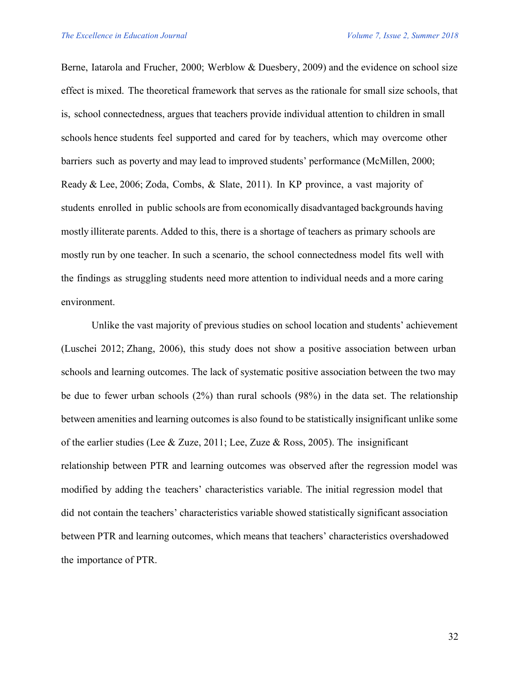Berne, Iatarola and Frucher, 2000; Werblow & Duesbery, 2009) and the evidence on school size effect is mixed. The theoretical framework that serves as the rationale for small size schools, that is, school connectedness, argues that teachers provide individual attention to children in small schools hence students feel supported and cared for by teachers, which may overcome other barriers such as poverty and may lead to improved students' performance (McMillen, 2000; Ready & Lee, 2006; Zoda, Combs, & Slate, 2011). In KP province, a vast majority of students enrolled in public schools are from economically disadvantaged backgrounds having mostly illiterate parents. Added to this, there is a shortage of teachers as primary schools are mostly run by one teacher. In such a scenario, the school connectedness model fits well with the findings as struggling students need more attention to individual needs and a more caring environment.

Unlike the vast majority of previous studies on school location and students' achievement (Luschei 2012; Zhang, 2006), this study does not show a positive association between urban schools and learning outcomes. The lack of systematic positive association between the two may be due to fewer urban schools (2%) than rural schools (98%) in the data set. The relationship between amenities and learning outcomes is also found to be statistically insignificant unlike some of the earlier studies (Lee & Zuze, 2011; Lee, Zuze & Ross, 2005). The insignificant relationship between PTR and learning outcomes was observed after the regression model was modified by adding the teachers' characteristics variable. The initial regression model that did not contain the teachers' characteristics variable showed statistically significant association between PTR and learning outcomes, which means that teachers' characteristics overshadowed the importance of PTR.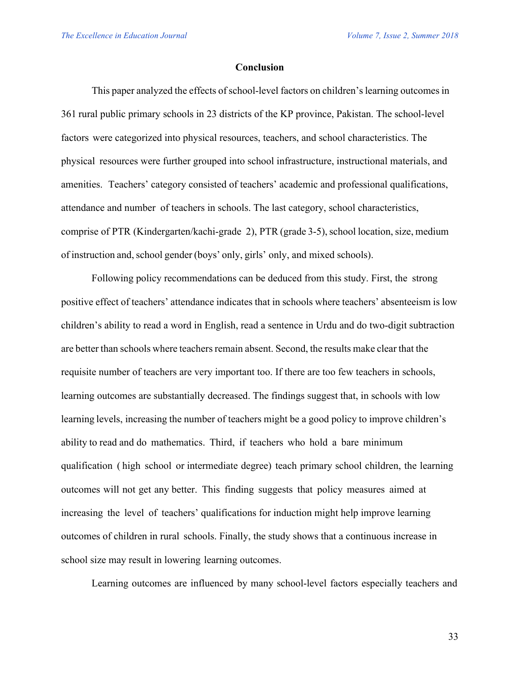#### **Conclusion**

This paper analyzed the effects of school-level factors on children's learning outcomes in 361 rural public primary schools in 23 districts of the KP province, Pakistan. The school-level factors were categorized into physical resources, teachers, and school characteristics. The physical resources were further grouped into school infrastructure, instructional materials, and amenities. Teachers' category consisted of teachers' academic and professional qualifications, attendance and number of teachers in schools. The last category, school characteristics, comprise of PTR (Kindergarten/kachi-grade 2), PTR (grade 3-5), school location, size, medium of instruction and,school gender (boys' only, girls' only, and mixed schools).

Following policy recommendations can be deduced from this study. First, the strong positive effect of teachers' attendance indicates that in schools where teachers' absenteeism is low children's ability to read a word in English, read a sentence in Urdu and do two-digit subtraction are better than schools where teachers remain absent. Second, the results make clear that the requisite number of teachers are very important too. If there are too few teachers in schools, learning outcomes are substantially decreased. The findings suggest that, in schools with low learning levels, increasing the number of teachers might be a good policy to improve children's ability to read and do mathematics. Third, if teachers who hold a bare minimum qualification ( high school or intermediate degree) teach primary school children, the learning outcomes will not get any better. This finding suggests that policy measures aimed at increasing the level of teachers' qualifications for induction might help improve learning outcomes of children in rural schools. Finally, the study shows that a continuous increase in school size may result in lowering learning outcomes.

Learning outcomes are influenced by many school-level factors especially teachers and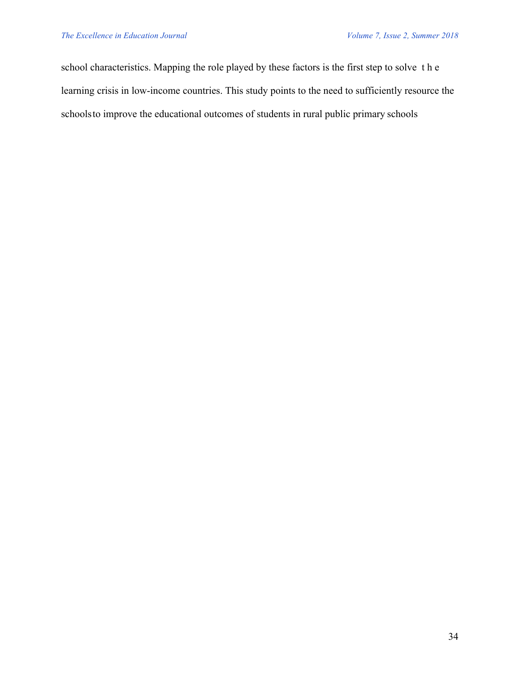school characteristics. Mapping the role played by these factors is the first step to solve the learning crisis in low-income countries. This study points to the need to sufficiently resource the schoolsto improve the educational outcomes of students in rural public primary schools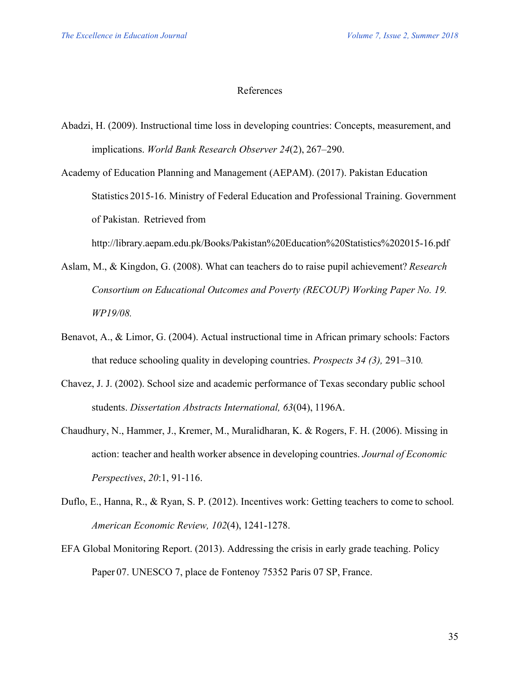## References

- Abadzi, H. (2009). Instructional time loss in developing countries: Concepts, measurement, and implications. *World Bank Research Observer 24*(2), 267–290.
- Academy of Education Planning and Management (AEPAM). (2017). Pakistan Education Statistics 2015-16. Ministry of Federal Education and Professional Training. Government of Pakistan. Retrieved from

http://library.aepam.edu.pk/Books/Pakistan%20Education%20Statistics%202015-16.pdf

- Aslam, M., & Kingdon, G. (2008). What can teachers do to raise pupil achievement? *Research Consortium on Educational Outcomes and Poverty (RECOUP) Working Paper No. 19. WP19/08.*
- Benavot, A., & Limor, G. (2004). Actual instructional time in African primary schools: Factors that reduce schooling quality in developing countries. *Prospects 34 (3),* 291–310*.*
- Chavez, J. J. (2002). School size and academic performance of Texas secondary public school students. *Dissertation Abstracts International, 63*(04), 1196A.
- Chaudhury, N., Hammer, J., Kremer, M., Muralidharan, K. & Rogers, F. H. (2006). Missing in action: teacher and health worker absence in developing countries. *Journal of Economic Perspectives*, *20*:1, 91-116.
- Duflo, E., Hanna, R., & Ryan, S. P. (2012). Incentives work: Getting teachers to come to school*. American Economic Review, 102*(4), 1241-1278.
- EFA Global Monitoring Report. (2013). Addressing the crisis in early grade teaching. Policy Paper 07. UNESCO 7, place de Fontenoy 75352 Paris 07 SP, France.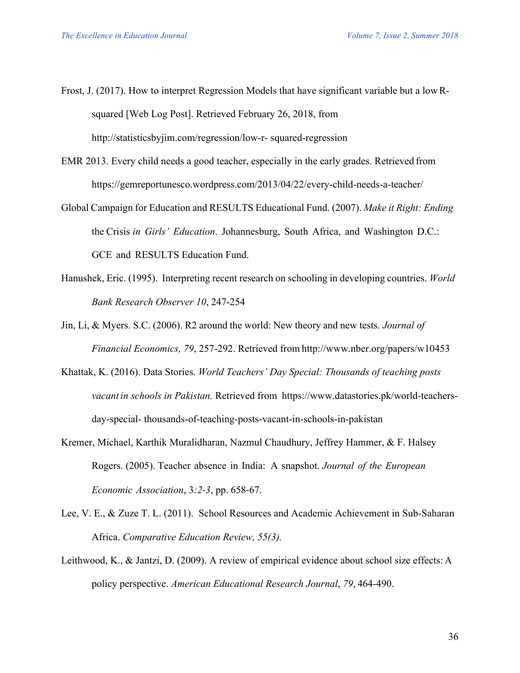- Frost, J. (2017). How to interpret Regression Models that have significant variable but a low Rsquared [Web Log Post]. Retrieved February 26, 2018, from http://statisticsbyjim.com/regression/low-r- squared-regression
- EMR 2013. Every child needs a good teacher, especially in the early grades. Retrieved from https://gemreportunesco.wordpress.com/2013/04/22/every-child-needs-a-teacher/
- Global Campaign for Education and RESULTS Educational Fund. (2007). *Make it Right: Ending* the Crisis *in Girls' Education*. Johannesburg, South Africa, and Washington D.C.: GCE and RESULTS Education Fund.
- Hanushek, Eric. (1995). Interpreting recent research on schooling in developing countries. *World Bank Research Observer 10*, 247-254
- Jin, Li, & Myers. S.C. (2006). R2 around the world: New theory and new tests. *Journal of Financial Economics, 79*, 257-292. Retrieved from http://www.nber.org/papers/w10453
- Khattak, K. (2016). Data Stories. *World Teachers' Day Special: Thousands of teaching posts vacant in schools in Pakistan.* Retrieved from https://www.datastories.pk/world-teachersday-special- thousands-of-teaching-posts-vacant-in-schools-in-pakistan
- Kremer, Michael, Karthik Muralidharan, Nazmul Chaudhury, Jeffrey Hammer, & F. Halsey Rogers. (2005). Teacher absence in India: A snapshot. *Journal of the European Economic Association*, 3*:2-3*, pp. 658-67.
- Lee, V. E., & Zuze T. L. (2011). School Resources and Academic Achievement in Sub-Saharan Africa. *Comparative Education Review, 55(3).*
- Leithwood, K., & Jantzi, D. (2009). A review of empirical evidence about school size effects: A policy perspective. *American Educational Research Journal*, *79*, 464-490.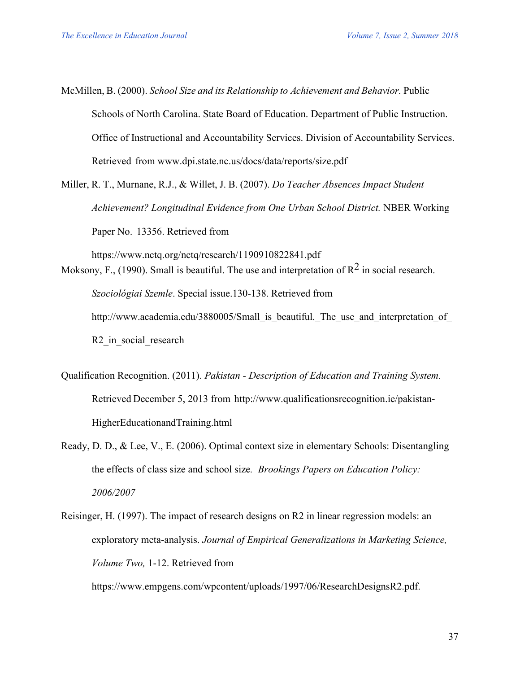McMillen, B. (2000). *School Size and its Relationship to Achievement and Behavior.* Public Schools of North Carolina. State Board of Education. Department of Public Instruction. Office of Instructional and Accountability Services. Division of Accountability Services. Retrieved from www.dpi.state.nc.us/docs/data/reports/size.pdf

Miller, R. T., Murnane, R.J., & Willet, J. B. (2007). *Do Teacher Absences Impact Student Achievement? Longitudinal Evidence from One Urban School District.* NBER Working Paper No. 13356. Retrieved from

https://www.nctq.org/nctq/research/1190910822841.pdf Moksony, F., (1990). Small is beautiful. The use and interpretation of  $\mathbb{R}^2$  in social research. *Szociológiai Szemle*. Special issue.130-138. Retrieved from http://www.academia.edu/3880005/Small is beautiful. The use and interpretation of R<sub>2</sub> in social research

- Qualification Recognition. (2011). *Pakistan - Description of Education and Training System.* Retrieved December 5, 2013 from http://www.qualificationsrecognition.ie/pakistan-HigherEducationandTraining.html
- Ready, D. D., & Lee, V., E. (2006). Optimal context size in elementary Schools: Disentangling the effects of class size and school size*. Brookings Papers on Education Policy: 2006/2007*
- Reisinger, H. (1997). The impact of research designs on R2 in linear regression models: an exploratory meta-analysis. *Journal of Empirical Generalizations in Marketing Science, Volume Two,* 1-12. Retrieved from

https://www.empgens.com/wpcontent/uploads/1997/06/ResearchDesignsR2.pdf.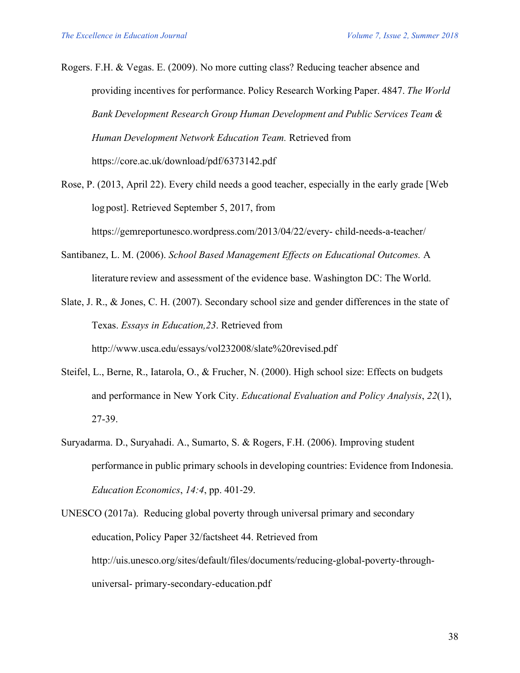Rogers. F.H. & Vegas. E. (2009). No more cutting class? Reducing teacher absence and providing incentives for performance. Policy Research Working Paper. 4847. *The World Bank Development Research Group Human Development and Public Services Team & Human Development Network Education Team.* Retrieved from https://core.ac.uk/download/pdf/6373142.pdf

- Rose, P. (2013, April 22). Every child needs a good teacher, especially in the early grade [Web log post]. Retrieved September 5, 2017, from https://gemreportunesco.wordpress.com/2013/04/22/every- child-needs-a-teacher/
- Santibanez, L. M. (2006). *School Based Management Effects on Educational Outcomes.* A literature review and assessment of the evidence base. Washington DC: The World.
- Slate, J. R., & Jones, C. H. (2007). Secondary school size and gender differences in the state of Texas. *Essays in Education,23*. Retrieved from http://www.usca.edu/essays/vol232008/slate%20revised.pdf
- Steifel, L., Berne, R., Iatarola, O., & Frucher, N. (2000). High school size: Effects on budgets and performance in New York City. *Educational Evaluation and Policy Analysis*, *22*(1), 27-39.
- Suryadarma. D., Suryahadi. A., Sumarto, S. & Rogers, F.H. (2006). Improving student performance in public primary schools in developing countries: Evidence from Indonesia. *Education Economics*, *14:4*, pp. 401-29.
- UNESCO (2017a). Reducing global poverty through universal primary and secondary education, Policy Paper 32/factsheet 44. Retrieved from http://uis.unesco.org/sites/default/files/documents/reducing-global-poverty-throughuniversal- primary-secondary-education.pdf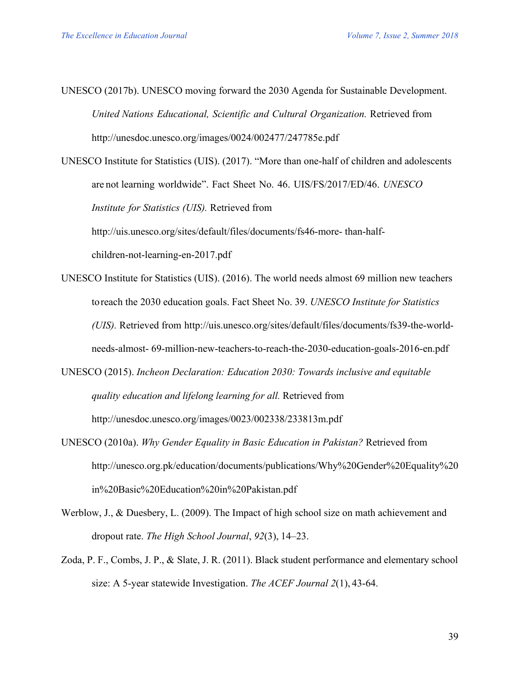UNESCO (2017b). UNESCO moving forward the 2030 Agenda for Sustainable Development. *United Nations Educational, Scientific and Cultural Organization.* Retrieved from http://unesdoc.unesco.org/images/0024/002477/247785e.pdf

UNESCO Institute for Statistics (UIS). (2017). "More than one-half of children and adolescents are not learning worldwide". Fact Sheet No. 46. UIS/FS/2017/ED/46. *UNESCO Institute for Statistics (UIS).* Retrieved from http://uis.unesco.org/sites/default/files/documents/fs46-more- than-halfchildren-not-learning-en-2017.pdf

- UNESCO Institute for Statistics (UIS). (2016). The world needs almost 69 million new teachers toreach the 2030 education goals. Fact Sheet No. 39. *UNESCO Institute for Statistics (UIS).* Retrieved from http://uis.unesco.org/sites/default/files/documents/fs39-the-worldneeds-almost- 69-million-new-teachers-to-reach-the-2030-education-goals-2016-en.pdf
- UNESCO (2015). *Incheon Declaration: Education 2030: Towards inclusive and equitable quality education and lifelong learning for all.* Retrieved from http://unesdoc.unesco.org/images/0023/002338/233813m.pdf
- UNESCO (2010a). *Why Gender Equality in Basic Education in Pakistan?* Retrieved from http://unesco.org.pk/education/documents/publications/Why%20Gender%20Equality%20 in%20Basic%20Education%20in%20Pakistan.pdf
- Werblow, J., & Duesbery, L. (2009). The Impact of high school size on math achievement and dropout rate. *The High School Journal*, *92*(3), 14–23.
- Zoda, P. F., Combs, J. P., & Slate, J. R. (2011). Black student performance and elementary school size: A 5-year statewide Investigation. *The ACEF Journal 2*(1), 43-64.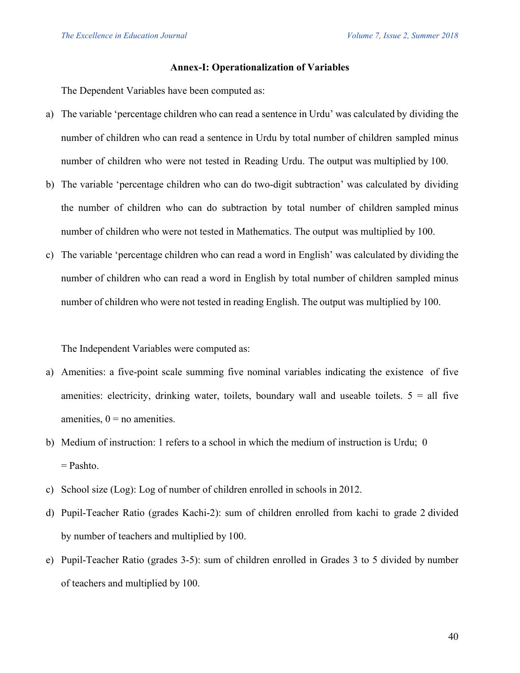#### **Annex-I: Operationalization of Variables**

The Dependent Variables have been computed as:

- a) The variable 'percentage children who can read a sentence in Urdu' was calculated by dividing the number of children who can read a sentence in Urdu by total number of children sampled minus number of children who were not tested in Reading Urdu. The output was multiplied by 100.
- b) The variable 'percentage children who can do two-digit subtraction' was calculated by dividing the number of children who can do subtraction by total number of children sampled minus number of children who were not tested in Mathematics. The output was multiplied by 100.
- c) The variable 'percentage children who can read a word in English' was calculated by dividing the number of children who can read a word in English by total number of children sampled minus number of children who were not tested in reading English. The output was multiplied by 100.

The Independent Variables were computed as:

- a) Amenities: a five-point scale summing five nominal variables indicating the existence of five amenities: electricity, drinking water, toilets, boundary wall and useable toilets.  $5 = \text{all five}$ amenities,  $0 =$  no amenities.
- b) Medium of instruction: 1 refers to a school in which the medium of instruction is Urdu; 0 = Pashto.
- c) School size (Log): Log of number of children enrolled in schools in 2012.
- d) Pupil-Teacher Ratio (grades Kachi-2): sum of children enrolled from kachi to grade 2 divided by number of teachers and multiplied by 100.
- e) Pupil-Teacher Ratio (grades 3-5): sum of children enrolled in Grades 3 to 5 divided by number of teachers and multiplied by 100.